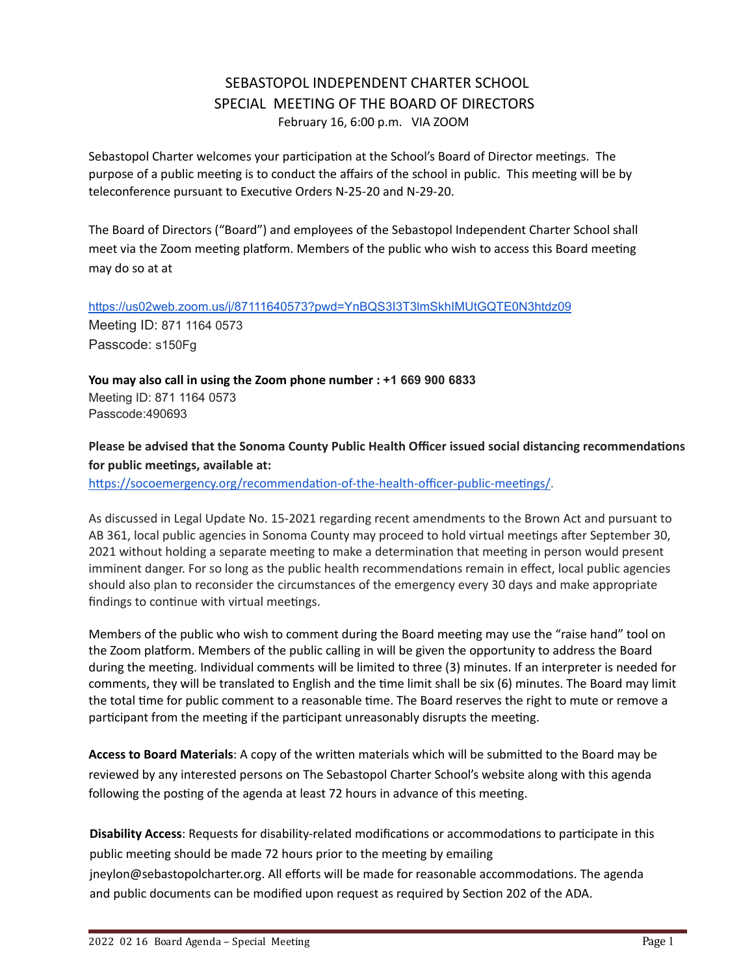# SEBASTOPOL INDEPENDENT CHARTER SCHOOL SPECIAL MEETING OF THE BOARD OF DIRECTORS February 16, 6:00 p.m. VIA ZOOM

Sebastopol Charter welcomes your participation at the School's Board of Director meetings. The purpose of a public meeting is to conduct the affairs of the school in public. This meeting will be by teleconference pursuant to Executive Orders N-25-20 and N-29-20.

The Board of Directors ("Board") and employees of the Sebastopol Independent Charter School shall meet via the Zoom meeting platform. Members of the public who wish to access this Board meeting may do so at at

<https://us02web.zoom.us/j/87111640573?pwd=YnBQS3I3T3lmSkhIMUtGQTE0N3htdz09> Meeting ID: 871 1164 0573 Passcode: s150Fg

**You may also call in using the Zoom phone number : +1 669 900 6833** Meeting ID: 871 1164 0573 Passcode:490693

**Please be advised that the Sonoma County Public Health Officer issued social distancing recommendaons for** public meetings, available at:

https://socoemergency.org/recommendation-of-the-health-officer-public-meetings/.

As discussed in Legal Update No. 15-2021 regarding recent amendments to the Brown Act and pursuant to AB 361, local public agencies in Sonoma County may proceed to hold virtual meetings after September 30, 2021 without holding a separate meeting to make a determination that meeting in person would present imminent danger. For so long as the public health recommendations remain in effect, local public agencies should also plan to reconsider the circumstances of the emergency every 30 days and make appropriate findings to continue with virtual meetings.

Members of the public who wish to comment during the Board meeting may use the "raise hand" tool on the Zoom platform. Members of the public calling in will be given the opportunity to address the Board during the meeting. Individual comments will be limited to three (3) minutes. If an interpreter is needed for comments, they will be translated to English and the time limit shall be six (6) minutes. The Board may limit the total time for public comment to a reasonable time. The Board reserves the right to mute or remove a participant from the meeting if the participant unreasonably disrupts the meeting.

Access to Board Materials: A copy of the written materials which will be submitted to the Board may be reviewed by any interested persons on The Sebastopol Charter School's website along with this agenda following the posting of the agenda at least 72 hours in advance of this meeting.

**Disability Access:** Requests for disability-related modifications or accommodations to participate in this public meeting should be made 72 hours prior to the meeting by emailing jneylon@sebastopolcharter.org. All efforts will be made for reasonable accommodations. The agenda and public documents can be modified upon request as required by Section 202 of the ADA.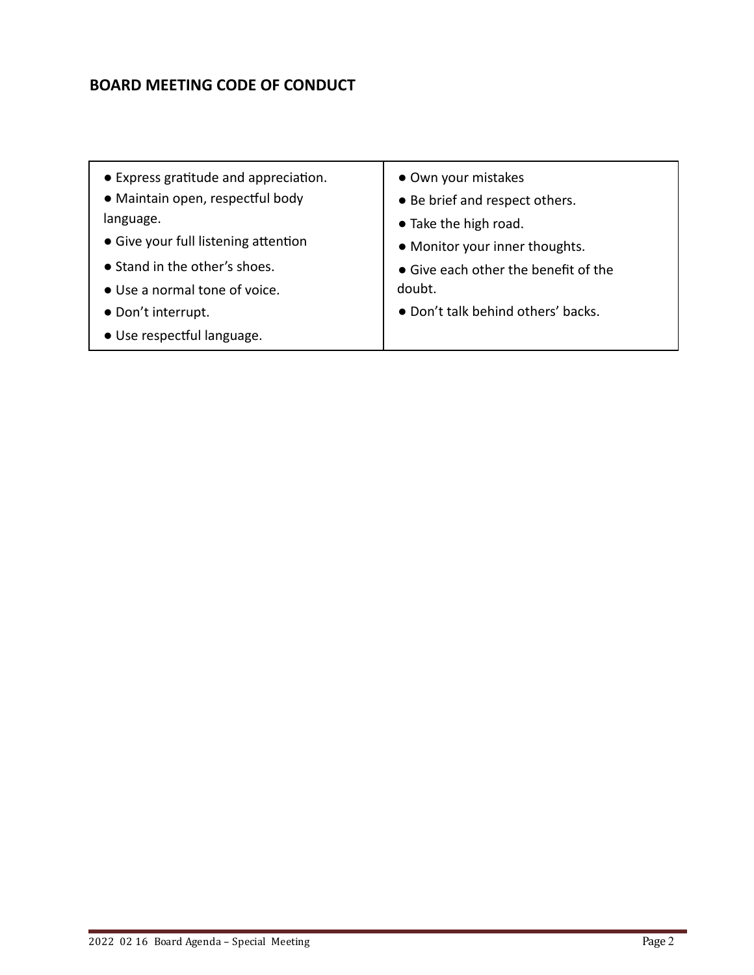# **BOARD MEETING CODE OF CONDUCT**

• Express gratitude and appreciation. • Maintain open, respectful body language. • Give your full listening attention ● Stand in the other's shoes. ● Use a normal tone of voice. ● Don't interrupt. · Use respectful language. ● Own your mistakes ● Be brief and respect others. ● Take the high road. ● Monitor your inner thoughts. ● Give each other the benefit of the doubt. ● Don't talk behind others' backs.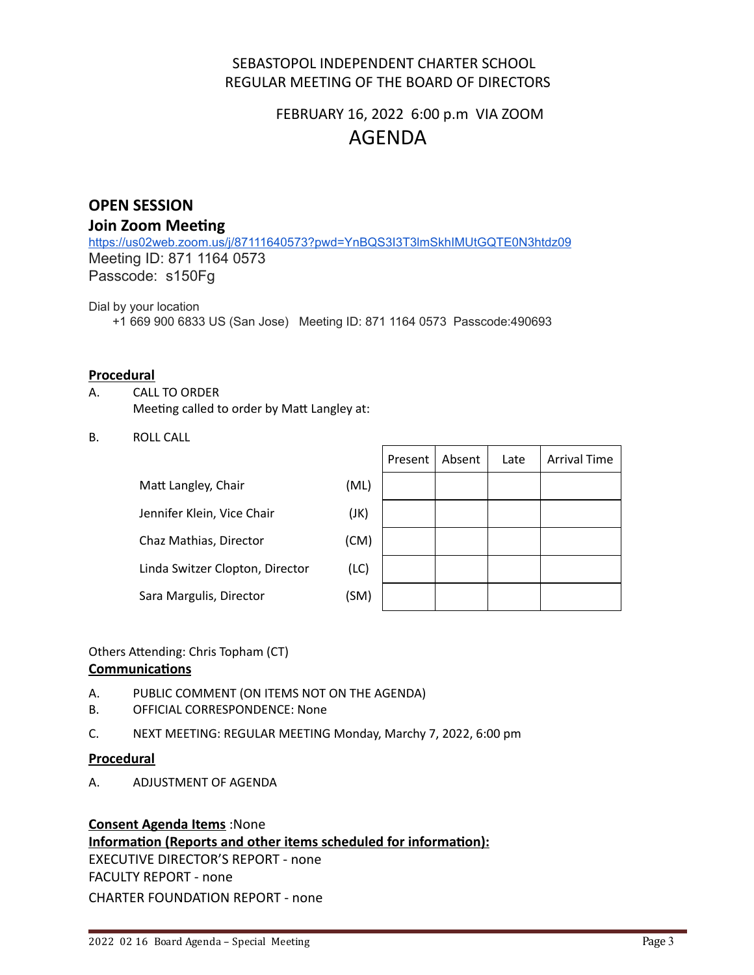### SEBASTOPOL INDEPENDENT CHARTER SCHOOL REGULAR MEETING OF THE BOARD OF DIRECTORS

# FEBRUARY 16, 2022 6:00 p.m VIA ZOOM AGENDA

## **OPEN SESSION**

### **Join Zoom Meeting**

<https://us02web.zoom.us/j/87111640573?pwd=YnBQS3I3T3lmSkhIMUtGQTE0N3htdz09> Meeting ID: 871 1164 0573 Passcode: s150Fg

Dial by your location

+1 669 900 6833 US (San Jose) Meeting ID: 871 1164 0573 Passcode:490693

### **Procedural**

- A. CALL TO ORDER Meeting called to order by Matt Langley at:
- B. ROLL CALL

| Matt Langley, Chair             | (ML) |
|---------------------------------|------|
| Jennifer Klein, Vice Chair      | (JK) |
| Chaz Mathias, Director          | (CM) |
| Linda Switzer Clopton, Director | (LC) |
| Sara Margulis, Director         | (SM) |

|  | Present   Absent | Late | <b>Arrival Time</b> |
|--|------------------|------|---------------------|
|  |                  |      |                     |
|  |                  |      |                     |
|  |                  |      |                     |
|  |                  |      |                     |
|  |                  |      |                     |

Others Attending: Chris Topham (CT)

#### **Communications**

- A. PUBLIC COMMENT (ON ITEMS NOT ON THE AGENDA)
- B. OFFICIAL CORRESPONDENCE: None
- C. NEXT MEETING: REGULAR MEETING Monday, Marchy 7, 2022, 6:00 pm

#### **Procedural**

A. ADJUSTMENT OF AGENDA

### **Consent Agenda Items** :None **Information (Reports and other items scheduled for information):** EXECUTIVE DIRECTOR'S REPORT - none FACULTY REPORT - none CHARTER FOUNDATION REPORT - none